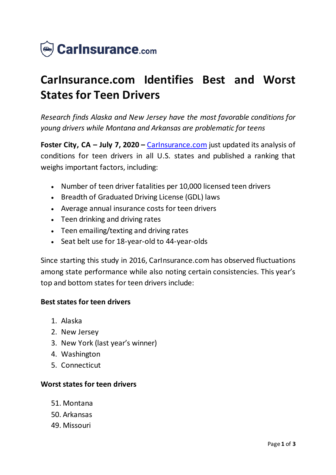

# **CarInsurance.com Identifies Best and Worst States for Teen Drivers**

*Research finds Alaska and New Jersey have the most favorable conditions for young drivers while Montana and Arkansas are problematic for teens*

**Foster City, CA – July 7, 2020 –** [CarInsurance.com](https://www.carinsurance.com/) just updated its analysis of conditions for teen drivers in all U.S. states and published a ranking that weighs important factors, including:

- Number of teen driver fatalities per 10,000 licensed teen drivers
- Breadth of Graduated Driving License (GDL) laws
- Average annual insurance costs for teen drivers
- Teen drinking and driving rates
- Teen emailing/texting and driving rates
- Seat belt use for 18-year-old to 44-year-olds

Since starting this study in 2016, CarInsurance.com has observed fluctuations among state performance while also noting certain consistencies. This year's top and bottom states for teen drivers include:

## **Best states for teen drivers**

- 1. Alaska
- 2. New Jersey
- 3. New York (last year's winner)
- 4. Washington
- 5. Connecticut

## **Worst states for teen drivers**

- 51. Montana
- 50. Arkansas
- 49. Missouri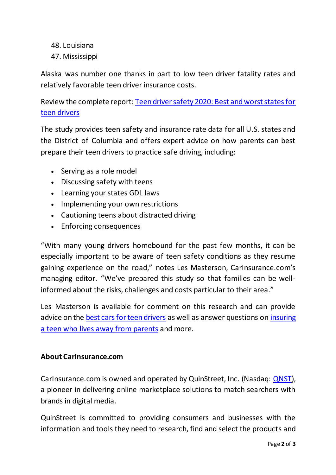- 48. Louisiana
- 47. Mississippi

Alaska was number one thanks in part to low teen driver fatality rates and relatively favorable teen driver insurance costs.

Review the complete report: [Teen driver safety 2020: Best and worst states for](https://www.carinsurance.com/Articles/teen-driving-safety-least-and-most-dangerous-states.aspx)  [teen drivers](https://www.carinsurance.com/Articles/teen-driving-safety-least-and-most-dangerous-states.aspx)

The study provides teen safety and insurance rate data for all U.S. states and the District of Columbia and offers expert advice on how parents can best prepare their teen drivers to practice safe driving, including:

- Serving as a role model
- Discussing safety with teens
- Learning your states GDL laws
- Implementing your own restrictions
- Cautioning teens about distracted driving
- Enforcing consequences

"With many young drivers homebound for the past few months, it can be especially important to be aware of teen safety conditions as they resume gaining experience on the road," notes Les Masterson, CarInsurance.com's managing editor. "We've prepared this study so that families can be wellinformed about the risks, challenges and costs particular to their area."

Les Masterson is available for comment on this research and can provide advice on the [best cars for teen drivers](https://www.carinsurance.com/best-cars-for-teens.aspx) as well as answer questions on [insuring](https://www.carinsurance.com/kb/can-teen-be-listed-as-occasional-driver)  [a teen who lives away from](https://www.carinsurance.com/kb/can-teen-be-listed-as-occasional-driver) parents and more.

## **About CarInsurance.com**

CarInsurance.com is owned and operated by QuinStreet, Inc. (Nasdaq: [QNST\)](https://www.globenewswire.com/Tracker?data=nIE80Pg4a4CF_2hibnrCwRdYrY-HFtd7HRKnYBpfLjdk8-fWdjzFAv5PNFXp51BdodbCvC6QVxm_2Yue2ZEIsw==), a pioneer in delivering online marketplace solutions to match searchers with brands in digital media.

QuinStreet is committed to providing consumers and businesses with the information and tools they need to research, find and select the products and